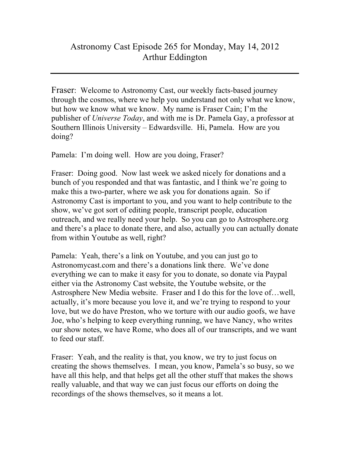Fraser: Welcome to Astronomy Cast, our weekly facts-based journey through the cosmos, where we help you understand not only what we know, but how we know what we know. My name is Fraser Cain; I'm the publisher of *Universe Today*, and with me is Dr. Pamela Gay, a professor at Southern Illinois University – Edwardsville. Hi, Pamela. How are you doing?

Pamela: I'm doing well. How are you doing, Fraser?

Fraser: Doing good. Now last week we asked nicely for donations and a bunch of you responded and that was fantastic, and I think we're going to make this a two-parter, where we ask you for donations again. So if Astronomy Cast is important to you, and you want to help contribute to the show, we've got sort of editing people, transcript people, education outreach, and we really need your help. So you can go to Astrosphere.org and there's a place to donate there, and also, actually you can actually donate from within Youtube as well, right?

Pamela: Yeah, there's a link on Youtube, and you can just go to Astronomycast.com and there's a donations link there. We've done everything we can to make it easy for you to donate, so donate via Paypal either via the Astronomy Cast website, the Youtube website, or the Astrosphere New Media website. Fraser and I do this for the love of…well, actually, it's more because you love it, and we're trying to respond to your love, but we do have Preston, who we torture with our audio goofs, we have Joe, who's helping to keep everything running, we have Nancy, who writes our show notes, we have Rome, who does all of our transcripts, and we want to feed our staff.

Fraser: Yeah, and the reality is that, you know, we try to just focus on creating the shows themselves. I mean, you know, Pamela's so busy, so we have all this help, and that helps get all the other stuff that makes the shows really valuable, and that way we can just focus our efforts on doing the recordings of the shows themselves, so it means a lot.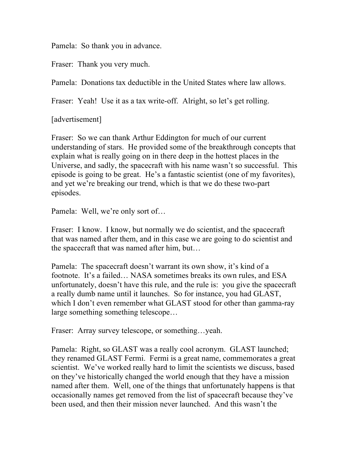Pamela: So thank you in advance.

Fraser: Thank you very much.

Pamela: Donations tax deductible in the United States where law allows.

Fraser: Yeah! Use it as a tax write-off. Alright, so let's get rolling.

[advertisement]

Fraser: So we can thank Arthur Eddington for much of our current understanding of stars. He provided some of the breakthrough concepts that explain what is really going on in there deep in the hottest places in the Universe, and sadly, the spacecraft with his name wasn't so successful. This episode is going to be great. He's a fantastic scientist (one of my favorites), and yet we're breaking our trend, which is that we do these two-part episodes.

Pamela: Well, we're only sort of…

Fraser: I know. I know, but normally we do scientist, and the spacecraft that was named after them, and in this case we are going to do scientist and the spacecraft that was named after him, but…

Pamela: The spacecraft doesn't warrant its own show, it's kind of a footnote. It's a failed… NASA sometimes breaks its own rules, and ESA unfortunately, doesn't have this rule, and the rule is: you give the spacecraft a really dumb name until it launches. So for instance, you had GLAST, which I don't even remember what GLAST stood for other than gamma-ray large something something telescope…

Fraser: Array survey telescope, or something…yeah.

Pamela: Right, so GLAST was a really cool acronym. GLAST launched; they renamed GLAST Fermi. Fermi is a great name, commemorates a great scientist. We've worked really hard to limit the scientists we discuss, based on they've historically changed the world enough that they have a mission named after them. Well, one of the things that unfortunately happens is that occasionally names get removed from the list of spacecraft because they've been used, and then their mission never launched. And this wasn't the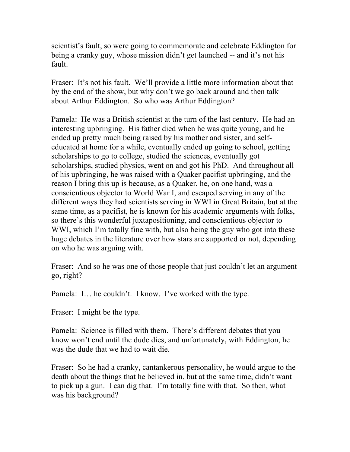scientist's fault, so were going to commemorate and celebrate Eddington for being a cranky guy, whose mission didn't get launched -- and it's not his fault.

Fraser: It's not his fault. We'll provide a little more information about that by the end of the show, but why don't we go back around and then talk about Arthur Eddington. So who was Arthur Eddington?

Pamela: He was a British scientist at the turn of the last century. He had an interesting upbringing. His father died when he was quite young, and he ended up pretty much being raised by his mother and sister, and selfeducated at home for a while, eventually ended up going to school, getting scholarships to go to college, studied the sciences, eventually got scholarships, studied physics, went on and got his PhD. And throughout all of his upbringing, he was raised with a Quaker pacifist upbringing, and the reason I bring this up is because, as a Quaker, he, on one hand, was a conscientious objector to World War I, and escaped serving in any of the different ways they had scientists serving in WWI in Great Britain, but at the same time, as a pacifist, he is known for his academic arguments with folks, so there's this wonderful juxtapositioning, and conscientious objector to WWI, which I'm totally fine with, but also being the guy who got into these huge debates in the literature over how stars are supported or not, depending on who he was arguing with.

Fraser: And so he was one of those people that just couldn't let an argument go, right?

Pamela: I… he couldn't. I know. I've worked with the type.

Fraser: I might be the type.

Pamela: Science is filled with them. There's different debates that you know won't end until the dude dies, and unfortunately, with Eddington, he was the dude that we had to wait die.

Fraser: So he had a cranky, cantankerous personality, he would argue to the death about the things that he believed in, but at the same time, didn't want to pick up a gun. I can dig that. I'm totally fine with that. So then, what was his background?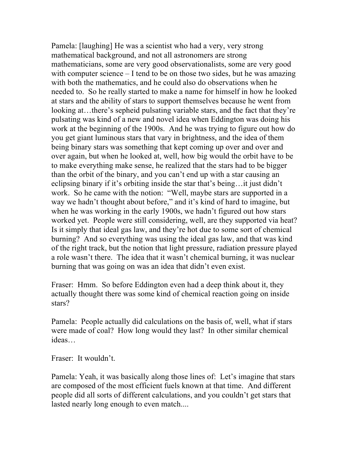Pamela: [laughing] He was a scientist who had a very, very strong mathematical background, and not all astronomers are strong mathematicians, some are very good observationalists, some are very good with computer science – I tend to be on those two sides, but he was amazing with both the mathematics, and he could also do observations when he needed to. So he really started to make a name for himself in how he looked at stars and the ability of stars to support themselves because he went from looking at…there's sepheid pulsating variable stars, and the fact that they're pulsating was kind of a new and novel idea when Eddington was doing his work at the beginning of the 1900s. And he was trying to figure out how do you get giant luminous stars that vary in brightness, and the idea of them being binary stars was something that kept coming up over and over and over again, but when he looked at, well, how big would the orbit have to be to make everything make sense, he realized that the stars had to be bigger than the orbit of the binary, and you can't end up with a star causing an eclipsing binary if it's orbiting inside the star that's being…it just didn't work. So he came with the notion: "Well, maybe stars are supported in a way we hadn't thought about before," and it's kind of hard to imagine, but when he was working in the early 1900s, we hadn't figured out how stars worked yet. People were still considering, well, are they supported via heat? Is it simply that ideal gas law, and they're hot due to some sort of chemical burning? And so everything was using the ideal gas law, and that was kind of the right track, but the notion that light pressure, radiation pressure played a role wasn't there. The idea that it wasn't chemical burning, it was nuclear burning that was going on was an idea that didn't even exist.

Fraser: Hmm. So before Eddington even had a deep think about it, they actually thought there was some kind of chemical reaction going on inside stars?

Pamela: People actually did calculations on the basis of, well, what if stars were made of coal? How long would they last? In other similar chemical ideas…

Fraser: It wouldn't.

Pamela: Yeah, it was basically along those lines of: Let's imagine that stars are composed of the most efficient fuels known at that time. And different people did all sorts of different calculations, and you couldn't get stars that lasted nearly long enough to even match....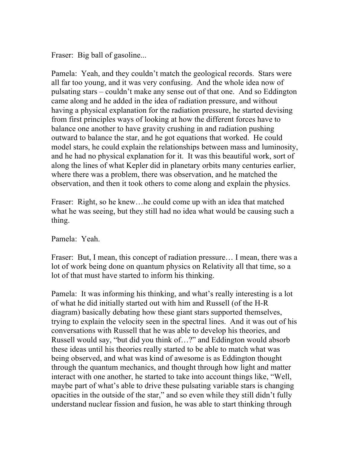Fraser: Big ball of gasoline...

Pamela: Yeah, and they couldn't match the geological records. Stars were all far too young, and it was very confusing. And the whole idea now of pulsating stars – couldn't make any sense out of that one. And so Eddington came along and he added in the idea of radiation pressure, and without having a physical explanation for the radiation pressure, he started devising from first principles ways of looking at how the different forces have to balance one another to have gravity crushing in and radiation pushing outward to balance the star, and he got equations that worked. He could model stars, he could explain the relationships between mass and luminosity, and he had no physical explanation for it. It was this beautiful work, sort of along the lines of what Kepler did in planetary orbits many centuries earlier, where there was a problem, there was observation, and he matched the observation, and then it took others to come along and explain the physics.

Fraser: Right, so he knew…he could come up with an idea that matched what he was seeing, but they still had no idea what would be causing such a thing.

Pamela: Yeah.

Fraser: But, I mean, this concept of radiation pressure… I mean, there was a lot of work being done on quantum physics on Relativity all that time, so a lot of that must have started to inform his thinking.

Pamela: It was informing his thinking, and what's really interesting is a lot of what he did initially started out with him and Russell (of the H-R diagram) basically debating how these giant stars supported themselves, trying to explain the velocity seen in the spectral lines. And it was out of his conversations with Russell that he was able to develop his theories, and Russell would say, "but did you think of…?" and Eddington would absorb these ideas until his theories really started to be able to match what was being observed, and what was kind of awesome is as Eddington thought through the quantum mechanics, and thought through how light and matter interact with one another, he started to take into account things like, "Well, maybe part of what's able to drive these pulsating variable stars is changing opacities in the outside of the star," and so even while they still didn't fully understand nuclear fission and fusion, he was able to start thinking through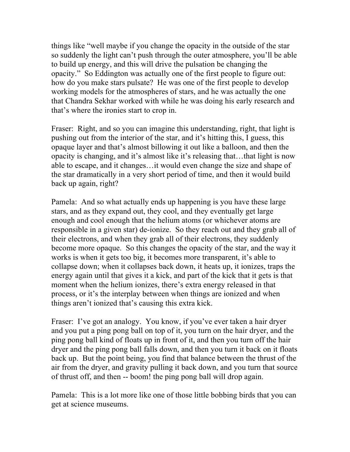things like "well maybe if you change the opacity in the outside of the star so suddenly the light can't push through the outer atmosphere, you'll be able to build up energy, and this will drive the pulsation be changing the opacity." So Eddington was actually one of the first people to figure out: how do you make stars pulsate? He was one of the first people to develop working models for the atmospheres of stars, and he was actually the one that Chandra Sekhar worked with while he was doing his early research and that's where the ironies start to crop in.

Fraser: Right, and so you can imagine this understanding, right, that light is pushing out from the interior of the star, and it's hitting this, I guess, this opaque layer and that's almost billowing it out like a balloon, and then the opacity is changing, and it's almost like it's releasing that…that light is now able to escape, and it changes…it would even change the size and shape of the star dramatically in a very short period of time, and then it would build back up again, right?

Pamela: And so what actually ends up happening is you have these large stars, and as they expand out, they cool, and they eventually get large enough and cool enough that the helium atoms (or whichever atoms are responsible in a given star) de-ionize. So they reach out and they grab all of their electrons, and when they grab all of their electrons, they suddenly become more opaque. So this changes the opacity of the star, and the way it works is when it gets too big, it becomes more transparent, it's able to collapse down; when it collapses back down, it heats up, it ionizes, traps the energy again until that gives it a kick, and part of the kick that it gets is that moment when the helium ionizes, there's extra energy released in that process, or it's the interplay between when things are ionized and when things aren't ionized that's causing this extra kick.

Fraser: I've got an analogy. You know, if you've ever taken a hair dryer and you put a ping pong ball on top of it, you turn on the hair dryer, and the ping pong ball kind of floats up in front of it, and then you turn off the hair dryer and the ping pong ball falls down, and then you turn it back on it floats back up. But the point being, you find that balance between the thrust of the air from the dryer, and gravity pulling it back down, and you turn that source of thrust off, and then -- boom! the ping pong ball will drop again.

Pamela: This is a lot more like one of those little bobbing birds that you can get at science museums.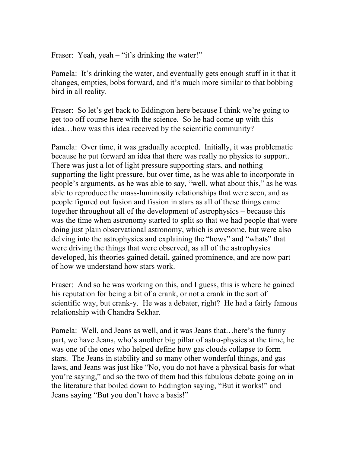Fraser: Yeah, yeah – "it's drinking the water!"

Pamela: It's drinking the water, and eventually gets enough stuff in it that it changes, empties, bobs forward, and it's much more similar to that bobbing bird in all reality.

Fraser: So let's get back to Eddington here because I think we're going to get too off course here with the science. So he had come up with this idea…how was this idea received by the scientific community?

Pamela: Over time, it was gradually accepted. Initially, it was problematic because he put forward an idea that there was really no physics to support. There was just a lot of light pressure supporting stars, and nothing supporting the light pressure, but over time, as he was able to incorporate in people's arguments, as he was able to say, "well, what about this," as he was able to reproduce the mass-luminosity relationships that were seen, and as people figured out fusion and fission in stars as all of these things came together throughout all of the development of astrophysics – because this was the time when astronomy started to split so that we had people that were doing just plain observational astronomy, which is awesome, but were also delving into the astrophysics and explaining the "hows" and "whats" that were driving the things that were observed, as all of the astrophysics developed, his theories gained detail, gained prominence, and are now part of how we understand how stars work.

Fraser: And so he was working on this, and I guess, this is where he gained his reputation for being a bit of a crank, or not a crank in the sort of scientific way, but crank-y. He was a debater, right? He had a fairly famous relationship with Chandra Sekhar.

Pamela: Well, and Jeans as well, and it was Jeans that…here's the funny part, we have Jeans, who's another big pillar of astro-physics at the time, he was one of the ones who helped define how gas clouds collapse to form stars. The Jeans in stability and so many other wonderful things, and gas laws, and Jeans was just like "No, you do not have a physical basis for what you're saying," and so the two of them had this fabulous debate going on in the literature that boiled down to Eddington saying, "But it works!" and Jeans saying "But you don't have a basis!"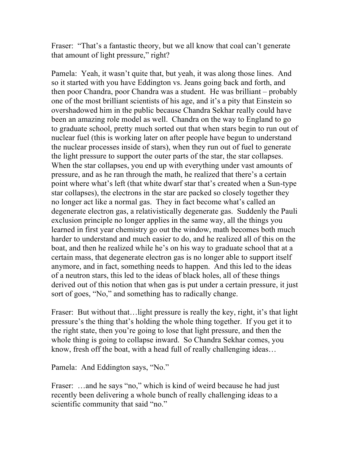Fraser: "That's a fantastic theory, but we all know that coal can't generate that amount of light pressure," right?

Pamela: Yeah, it wasn't quite that, but yeah, it was along those lines. And so it started with you have Eddington vs. Jeans going back and forth, and then poor Chandra, poor Chandra was a student. He was brilliant – probably one of the most brilliant scientists of his age, and it's a pity that Einstein so overshadowed him in the public because Chandra Sekhar really could have been an amazing role model as well. Chandra on the way to England to go to graduate school, pretty much sorted out that when stars begin to run out of nuclear fuel (this is working later on after people have begun to understand the nuclear processes inside of stars), when they run out of fuel to generate the light pressure to support the outer parts of the star, the star collapses. When the star collapses, you end up with everything under vast amounts of pressure, and as he ran through the math, he realized that there's a certain point where what's left (that white dwarf star that's created when a Sun-type star collapses), the electrons in the star are packed so closely together they no longer act like a normal gas. They in fact become what's called an degenerate electron gas, a relativistically degenerate gas. Suddenly the Pauli exclusion principle no longer applies in the same way, all the things you learned in first year chemistry go out the window, math becomes both much harder to understand and much easier to do, and he realized all of this on the boat, and then he realized while he's on his way to graduate school that at a certain mass, that degenerate electron gas is no longer able to support itself anymore, and in fact, something needs to happen. And this led to the ideas of a neutron stars, this led to the ideas of black holes, all of these things derived out of this notion that when gas is put under a certain pressure, it just sort of goes, "No," and something has to radically change.

Fraser: But without that... light pressure is really the key, right, it's that light pressure's the thing that's holding the whole thing together. If you get it to the right state, then you're going to lose that light pressure, and then the whole thing is going to collapse inward. So Chandra Sekhar comes, you know, fresh off the boat, with a head full of really challenging ideas…

Pamela: And Eddington says, "No."

Fraser: ...and he says "no," which is kind of weird because he had just recently been delivering a whole bunch of really challenging ideas to a scientific community that said "no."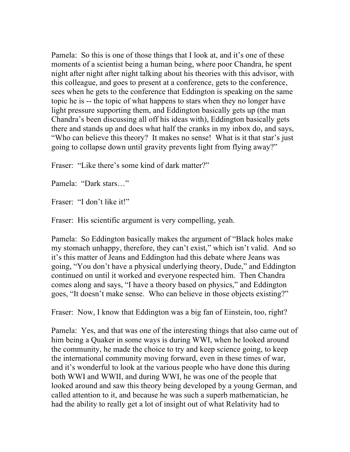Pamela: So this is one of those things that I look at, and it's one of these moments of a scientist being a human being, where poor Chandra, he spent night after night after night talking about his theories with this advisor, with this colleague, and goes to present at a conference, gets to the conference, sees when he gets to the conference that Eddington is speaking on the same topic he is -- the topic of what happens to stars when they no longer have light pressure supporting them, and Eddington basically gets up (the man Chandra's been discussing all off his ideas with), Eddington basically gets there and stands up and does what half the cranks in my inbox do, and says, "Who can believe this theory? It makes no sense! What is it that star's just going to collapse down until gravity prevents light from flying away?"

Fraser: "Like there's some kind of dark matter?"

Pamela: "Dark stars…"

Fraser: "I don't like it!"

Fraser: His scientific argument is very compelling, yeah.

Pamela: So Eddington basically makes the argument of "Black holes make my stomach unhappy, therefore, they can't exist," which isn't valid. And so it's this matter of Jeans and Eddington had this debate where Jeans was going, "You don't have a physical underlying theory, Dude," and Eddington continued on until it worked and everyone respected him. Then Chandra comes along and says, "I have a theory based on physics," and Eddington goes, "It doesn't make sense. Who can believe in those objects existing?"

Fraser: Now, I know that Eddington was a big fan of Einstein, too, right?

Pamela: Yes, and that was one of the interesting things that also came out of him being a Quaker in some ways is during WWI, when he looked around the community, he made the choice to try and keep science going, to keep the international community moving forward, even in these times of war, and it's wonderful to look at the various people who have done this during both WWI and WWII, and during WWI, he was one of the people that looked around and saw this theory being developed by a young German, and called attention to it, and because he was such a superb mathematician, he had the ability to really get a lot of insight out of what Relativity had to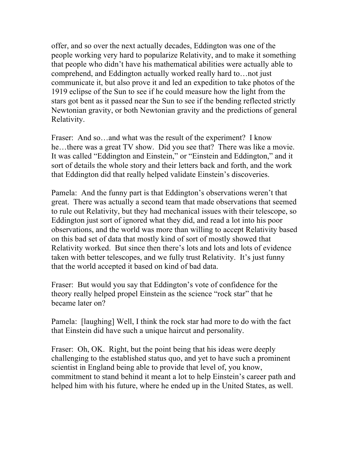offer, and so over the next actually decades, Eddington was one of the people working very hard to popularize Relativity, and to make it something that people who didn't have his mathematical abilities were actually able to comprehend, and Eddington actually worked really hard to…not just communicate it, but also prove it and led an expedition to take photos of the 1919 eclipse of the Sun to see if he could measure how the light from the stars got bent as it passed near the Sun to see if the bending reflected strictly Newtonian gravity, or both Newtonian gravity and the predictions of general Relativity.

Fraser: And so...and what was the result of the experiment? I know he…there was a great TV show. Did you see that? There was like a movie. It was called "Eddington and Einstein," or "Einstein and Eddington," and it sort of details the whole story and their letters back and forth, and the work that Eddington did that really helped validate Einstein's discoveries.

Pamela: And the funny part is that Eddington's observations weren't that great. There was actually a second team that made observations that seemed to rule out Relativity, but they had mechanical issues with their telescope, so Eddington just sort of ignored what they did, and read a lot into his poor observations, and the world was more than willing to accept Relativity based on this bad set of data that mostly kind of sort of mostly showed that Relativity worked. But since then there's lots and lots and lots of evidence taken with better telescopes, and we fully trust Relativity. It's just funny that the world accepted it based on kind of bad data.

Fraser: But would you say that Eddington's vote of confidence for the theory really helped propel Einstein as the science "rock star" that he became later on?

Pamela: [laughing] Well, I think the rock star had more to do with the fact that Einstein did have such a unique haircut and personality.

Fraser: Oh, OK. Right, but the point being that his ideas were deeply challenging to the established status quo, and yet to have such a prominent scientist in England being able to provide that level of, you know, commitment to stand behind it meant a lot to help Einstein's career path and helped him with his future, where he ended up in the United States, as well.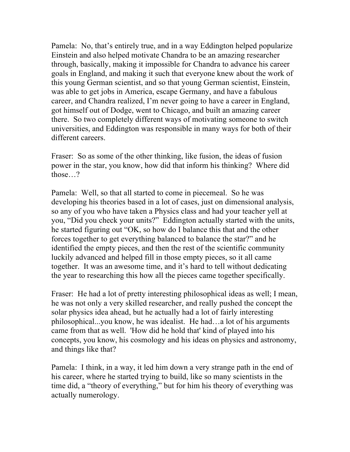Pamela: No, that's entirely true, and in a way Eddington helped popularize Einstein and also helped motivate Chandra to be an amazing researcher through, basically, making it impossible for Chandra to advance his career goals in England, and making it such that everyone knew about the work of this young German scientist, and so that young German scientist, Einstein, was able to get jobs in America, escape Germany, and have a fabulous career, and Chandra realized, I'm never going to have a career in England, got himself out of Dodge, went to Chicago, and built an amazing career there. So two completely different ways of motivating someone to switch universities, and Eddington was responsible in many ways for both of their different careers.

Fraser: So as some of the other thinking, like fusion, the ideas of fusion power in the star, you know, how did that inform his thinking? Where did those…?

Pamela: Well, so that all started to come in piecemeal. So he was developing his theories based in a lot of cases, just on dimensional analysis, so any of you who have taken a Physics class and had your teacher yell at you, "Did you check your units?" Eddington actually started with the units, he started figuring out "OK, so how do I balance this that and the other forces together to get everything balanced to balance the star?" and he identified the empty pieces, and then the rest of the scientific community luckily advanced and helped fill in those empty pieces, so it all came together. It was an awesome time, and it's hard to tell without dedicating the year to researching this how all the pieces came together specifically.

Fraser: He had a lot of pretty interesting philosophical ideas as well; I mean, he was not only a very skilled researcher, and really pushed the concept the solar physics idea ahead, but he actually had a lot of fairly interesting philosophical...you know, he was idealist. He had…a lot of his arguments came from that as well. 'How did he hold that' kind of played into his concepts, you know, his cosmology and his ideas on physics and astronomy, and things like that?

Pamela: I think, in a way, it led him down a very strange path in the end of his career, where he started trying to build, like so many scientists in the time did, a "theory of everything," but for him his theory of everything was actually numerology.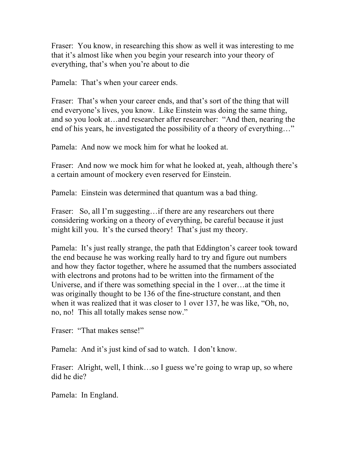Fraser: You know, in researching this show as well it was interesting to me that it's almost like when you begin your research into your theory of everything, that's when you're about to die

Pamela: That's when your career ends.

Fraser: That's when your career ends, and that's sort of the thing that will end everyone's lives, you know. Like Einstein was doing the same thing, and so you look at…and researcher after researcher: "And then, nearing the end of his years, he investigated the possibility of a theory of everything…"

Pamela: And now we mock him for what he looked at.

Fraser: And now we mock him for what he looked at, yeah, although there's a certain amount of mockery even reserved for Einstein.

Pamela: Einstein was determined that quantum was a bad thing.

Fraser: So, all I'm suggesting... if there are any researchers out there considering working on a theory of everything, be careful because it just might kill you. It's the cursed theory! That's just my theory.

Pamela: It's just really strange, the path that Eddington's career took toward the end because he was working really hard to try and figure out numbers and how they factor together, where he assumed that the numbers associated with electrons and protons had to be written into the firmament of the Universe, and if there was something special in the 1 over…at the time it was originally thought to be 136 of the fine-structure constant, and then when it was realized that it was closer to 1 over 137, he was like, "Oh, no, no, no! This all totally makes sense now."

Fraser: "That makes sense!"

Pamela: And it's just kind of sad to watch. I don't know.

Fraser: Alright, well, I think...so I guess we're going to wrap up, so where did he die?

Pamela: In England.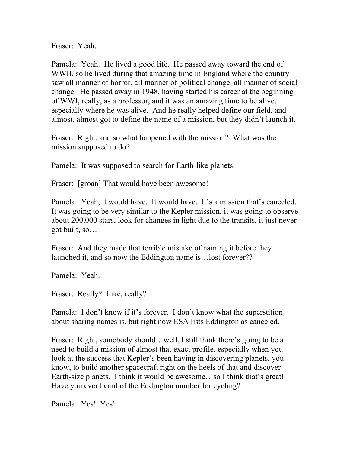Fraser: Yeah.

Pamela: Yeah. He lived a good life. He passed away toward the end of WWII, so he lived during that amazing time in England where the country saw all manner of horror, all manner of political change, all manner of social change. He passed away in 1948, having started his career at the beginning of WWI, really, as a professor, and it was an amazing time to be alive, especially where he was alive. And he really helped define our field, and almost, almost got to define the name of a mission, but they didn't launch it.

Fraser: Right, and so what happened with the mission? What was the mission supposed to do?

Pamela: It was supposed to search for Earth-like planets.

Fraser: [groan] That would have been awesome!

Pamela: Yeah, it would have. It would have. It's a mission that's canceled. It was going to be very similar to the Kepler mission, it was going to observe about 200,000 stars, look for changes in light due to the transits, it just never got built, so…

Fraser: And they made that terrible mistake of naming it before they launched it, and so now the Eddington name is…lost forever??

Pamela: Yeah.

Fraser: Really? Like, really?

Pamela: I don't know if it's forever. I don't know what the superstition about sharing names is, but right now ESA lists Eddington as canceled.

Fraser: Right, somebody should...well, I still think there's going to be a need to build a mission of almost that exact profile, especially when you look at the success that Kepler's been having in discovering planets, you know, to build another spacecraft right on the heels of that and discover Earth-size planets. I think it would be awesome…so I think that's great! Have you ever heard of the Eddington number for cycling?

Pamela: Yes! Yes!